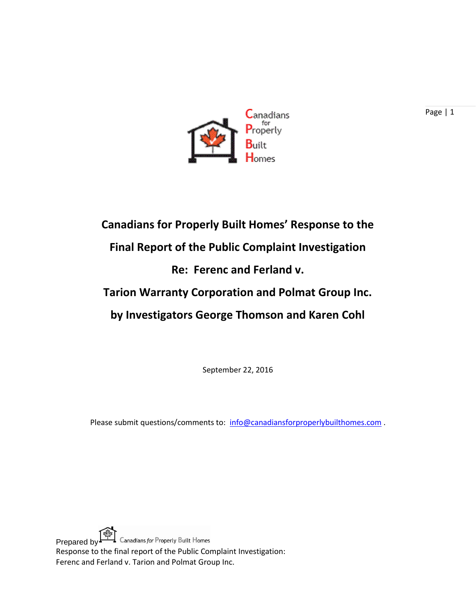

## **Canadians for Properly Built Homes' Response to the Final Report of the Public Complaint Investigation Re: Ferenc and Ferland v. Tarion Warranty Corporation and Polmat Group Inc. by Investigators George Thomson and Karen Cohl**

September 22, 2016

Please submit questions/comments to: [info@canadiansforproperlybuilthomes.com](mailto:info@canadiansforproperlybuilthomes.com).

Prepared by  $\left[\frac{\sqrt{2}}{2}\right]$  Canadians for Properly Built Homes Response to the final report of the Public Complaint Investigation: Ferenc and Ferland v. Tarion and Polmat Group Inc.

Page | 1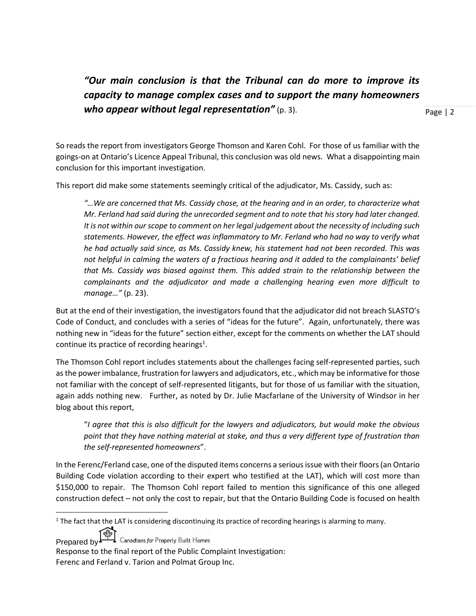*"Our main conclusion is that the Tribunal can do more to improve its capacity to manage complex cases and to support the many homeowners who appear without legal representation"* (p. 3).

Page | 2

So reads the report from investigators George Thomson and Karen Cohl. For those of us familiar with the goings-on at Ontario's Licence Appeal Tribunal, this conclusion was old news. What a disappointing main conclusion for this important investigation.

This report did make some statements seemingly critical of the adjudicator, Ms. Cassidy, such as:

*"…We are concerned that Ms. Cassidy chose, at the hearing and in an order, to characterize what Mr. Ferland had said during the unrecorded segment and to note that his story had later changed. It is not within our scope to comment on her legal judgement about the necessity of including such statements. However, the effect was inflammatory to Mr. Ferland who had no way to verify what he had actually said since, as Ms. Cassidy knew, his statement had not been recorded. This was not helpful in calming the waters of a fractious hearing and it added to the complainants' belief that Ms. Cassidy was biased against them. This added strain to the relationship between the complainants and the adjudicator and made a challenging hearing even more difficult to manage…"* (p. 23).

But at the end of their investigation, the investigators found that the adjudicator did not breach SLASTO's Code of Conduct, and concludes with a series of "ideas for the future". Again, unfortunately, there was nothing new in "ideas for the future" section either, except for the comments on whether the LAT should continue its practice of recording hearings<sup>1</sup>.

The Thomson Cohl report includes statements about the challenges facing self-represented parties, such as the power imbalance, frustration for lawyers and adjudicators, etc., which may be informative for those not familiar with the concept of self-represented litigants, but for those of us familiar with the situation, again adds nothing new. Further, as noted by Dr. Julie Macfarlane of the University of Windsor in her blog about this report,

"*I agree that this is also difficult for the lawyers and adjudicators, but would make the obvious point that they have nothing material at stake, and thus a very different type of frustration than the self-represented homeowners*".

In the Ferenc/Ferland case, one of the disputed items concerns a serious issue with their floors (an Ontario Building Code violation according to their expert who testified at the LAT), which will cost more than \$150,000 to repair. The Thomson Cohl report failed to mention this significance of this one alleged construction defect – not only the cost to repair, but that the Ontario Building Code is focused on health

Prepared by Canadians for Property Built Homes

 $\overline{\phantom{a}}$ 

 $1$  The fact that the LAT is considering discontinuing its practice of recording hearings is alarming to many.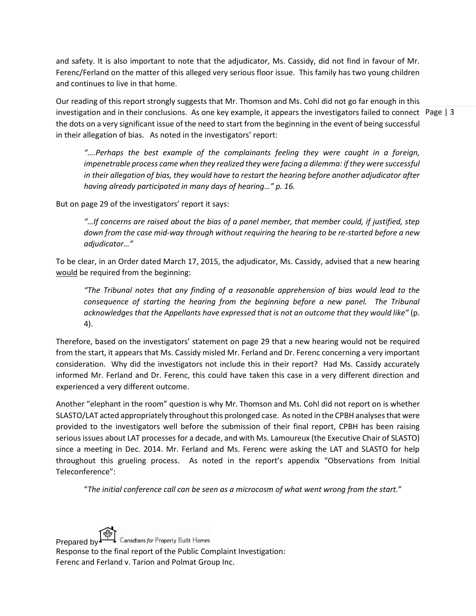and safety. It is also important to note that the adjudicator, Ms. Cassidy, did not find in favour of Mr. Ferenc/Ferland on the matter of this alleged very serious floor issue. This family has two young children and continues to live in that home.

investigation and in their conclusions. As one key example, it appears the investigators failed to connect Page | 3 Our reading of this report strongly suggests that Mr. Thomson and Ms. Cohl did not go far enough in this the dots on a very significant issue of the need to start from the beginning in the event of being successful in their allegation of bias. As noted in the investigators' report:

*"….Perhaps the best example of the complainants feeling they were caught in a foreign, impenetrable process came when they realized they were facing a dilemma: if they were successful in their allegation of bias, they would have to restart the hearing before another adjudicator after having already participated in many days of hearing…" p. 16.*

But on page 29 of the investigators' report it says:

*"…If concerns are raised about the bias of a panel member, that member could, if justified, step down from the case mid-way through without requiring the hearing to be re-started before a new adjudicator…"* 

To be clear, in an Order dated March 17, 2015, the adjudicator, Ms. Cassidy, advised that a new hearing would be required from the beginning:

*"The Tribunal notes that any finding of a reasonable apprehension of bias would lead to the consequence of starting the hearing from the beginning before a new panel. The Tribunal acknowledges that the Appellants have expressed that is not an outcome that they would like"* (p. 4).

Therefore, based on the investigators' statement on page 29 that a new hearing would not be required from the start, it appears that Ms. Cassidy misled Mr. Ferland and Dr. Ferenc concerning a very important consideration. Why did the investigators not include this in their report? Had Ms. Cassidy accurately informed Mr. Ferland and Dr. Ferenc, this could have taken this case in a very different direction and experienced a very different outcome.

Another "elephant in the room" question is why Mr. Thomson and Ms. Cohl did not report on is whether SLASTO/LAT acted appropriately throughout this prolonged case. As noted in the CPBH analyses that were provided to the investigators well before the submission of their final report, CPBH has been raising serious issues about LAT processes for a decade, and with Ms. Lamoureux (the Executive Chair of SLASTO) since a meeting in Dec. 2014. Mr. Ferland and Ms. Ferenc were asking the LAT and SLASTO for help throughout this grueling process. As noted in the report's appendix "Observations from Initial Teleconference":

"*The initial conference call can be seen as a microcosm of what went wrong from the start.*"

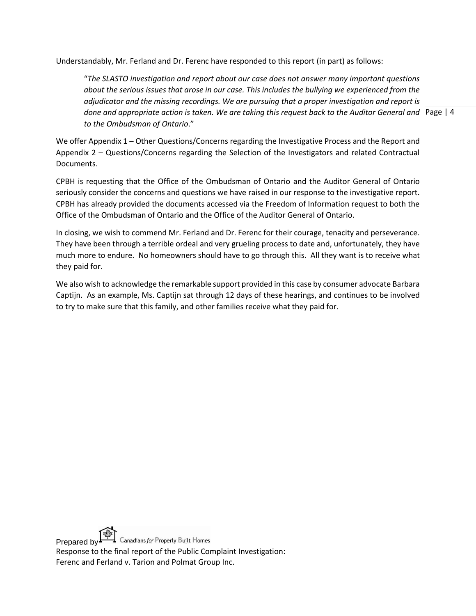Understandably, Mr. Ferland and Dr. Ferenc have responded to this report (in part) as follows:

done and appropriate action is taken. We are taking this request back to the Auditor General and Page | 4 "*The SLASTO investigation and report about our case does not answer many important questions about the serious issues that arose in our case. This includes the bullying we experienced from the adjudicator and the missing recordings. We are pursuing that a proper investigation and report is to the Ombudsman of Ontario*."

We offer Appendix 1 – Other Questions/Concerns regarding the Investigative Process and the Report and Appendix 2 – Questions/Concerns regarding the Selection of the Investigators and related Contractual Documents.

CPBH is requesting that the Office of the Ombudsman of Ontario and the Auditor General of Ontario seriously consider the concerns and questions we have raised in our response to the investigative report. CPBH has already provided the documents accessed via the Freedom of Information request to both the Office of the Ombudsman of Ontario and the Office of the Auditor General of Ontario.

In closing, we wish to commend Mr. Ferland and Dr. Ferenc for their courage, tenacity and perseverance. They have been through a terrible ordeal and very grueling process to date and, unfortunately, they have much more to endure. No homeowners should have to go through this. All they want is to receive what they paid for.

We also wish to acknowledge the remarkable support provided in this case by consumer advocate Barbara Captijn. As an example, Ms. Captijn sat through 12 days of these hearings, and continues to be involved to try to make sure that this family, and other families receive what they paid for.

Prepared by Canadians for Property Built Homes Response to the final report of the Public Complaint Investigation: Ferenc and Ferland v. Tarion and Polmat Group Inc.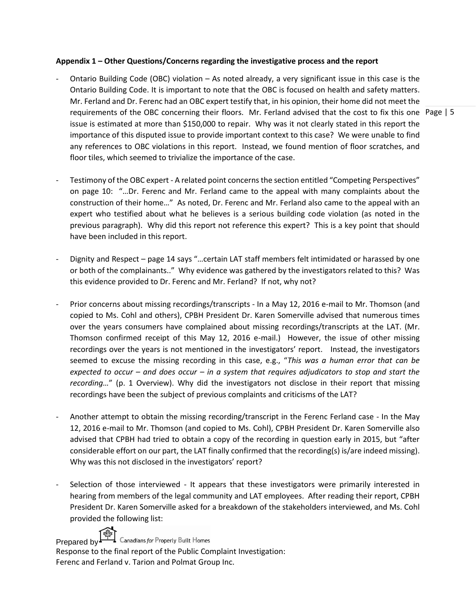## **Appendix 1 – Other Questions/Concerns regarding the investigative process and the report**

- requirements of the OBC concerning their floors. Mr. Ferland advised that the cost to fix this one Page | 5 Ontario Building Code (OBC) violation – As noted already, a very significant issue in this case is the Ontario Building Code. It is important to note that the OBC is focused on health and safety matters. Mr. Ferland and Dr. Ferenc had an OBC expert testify that, in his opinion, their home did not meet the issue is estimated at more than \$150,000 to repair. Why was it not clearly stated in this report the importance of this disputed issue to provide important context to this case? We were unable to find any references to OBC violations in this report. Instead, we found mention of floor scratches, and floor tiles, which seemed to trivialize the importance of the case.
- Testimony of the OBC expert A related point concerns the section entitled "Competing Perspectives" on page 10: "…Dr. Ferenc and Mr. Ferland came to the appeal with many complaints about the construction of their home…" As noted, Dr. Ferenc and Mr. Ferland also came to the appeal with an expert who testified about what he believes is a serious building code violation (as noted in the previous paragraph). Why did this report not reference this expert? This is a key point that should have been included in this report.
- Dignity and Respect page 14 says "…certain LAT staff members felt intimidated or harassed by one or both of the complainants.." Why evidence was gathered by the investigators related to this? Was this evidence provided to Dr. Ferenc and Mr. Ferland? If not, why not?
- Prior concerns about missing recordings/transcripts In a May 12, 2016 e-mail to Mr. Thomson (and copied to Ms. Cohl and others), CPBH President Dr. Karen Somerville advised that numerous times over the years consumers have complained about missing recordings/transcripts at the LAT. (Mr. Thomson confirmed receipt of this May 12, 2016 e-mail.) However, the issue of other missing recordings over the years is not mentioned in the investigators' report. Instead, the investigators seemed to excuse the missing recording in this case, e.g., "*This was a human error that can be expected to occur – and does occur – in a system that requires adjudicators to stop and start the recording…*" (p. 1 Overview). Why did the investigators not disclose in their report that missing recordings have been the subject of previous complaints and criticisms of the LAT?
- Another attempt to obtain the missing recording/transcript in the Ferenc Ferland case In the May 12, 2016 e-mail to Mr. Thomson (and copied to Ms. Cohl), CPBH President Dr. Karen Somerville also advised that CPBH had tried to obtain a copy of the recording in question early in 2015, but "after considerable effort on our part, the LAT finally confirmed that the recording(s) is/are indeed missing). Why was this not disclosed in the investigators' report?
- Selection of those interviewed It appears that these investigators were primarily interested in hearing from members of the legal community and LAT employees. After reading their report, CPBH President Dr. Karen Somerville asked for a breakdown of the stakeholders interviewed, and Ms. Cohl provided the following list:



Prepared by Canadians for Property Built Homes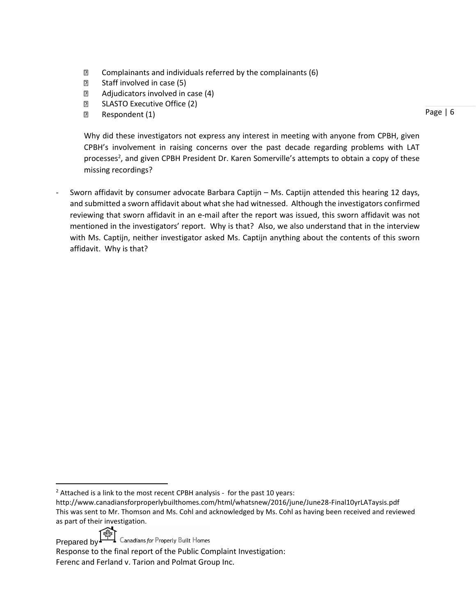- $\mathbb D$  Complainants and individuals referred by the complainants (6)
- **B** Staff involved in case (5)
- **2** Adjudicators involved in case (4)
- **B** SLASTO Executive Office (2)
- **Respondent (1)**

Page | 6

Why did these investigators not express any interest in meeting with anyone from CPBH, given CPBH's involvement in raising concerns over the past decade regarding problems with LAT processes<sup>2</sup>, and given CPBH President Dr. Karen Somerville's attempts to obtain a copy of these missing recordings?

Sworn affidavit by consumer advocate Barbara Captijn – Ms. Captijn attended this hearing 12 days, and submitted a sworn affidavit about what she had witnessed. Although the investigators confirmed reviewing that sworn affidavit in an e-mail after the report was issued, this sworn affidavit was not mentioned in the investigators' report. Why is that? Also, we also understand that in the interview with Ms. Captijn, neither investigator asked Ms. Captijn anything about the contents of this sworn affidavit. Why is that?

Prepared by  $\mathbb{R}$  Canadians for Properly Built Homes

l

 $2$  Attached is a link to the most recent CPBH analysis - for the past 10 years:

http://www.canadiansforproperlybuilthomes.com/html/whatsnew/2016/june/June28-Final10yrLATaysis.pdf This was sent to Mr. Thomson and Ms. Cohl and acknowledged by Ms. Cohl as having been received and reviewed as part of their investigation.